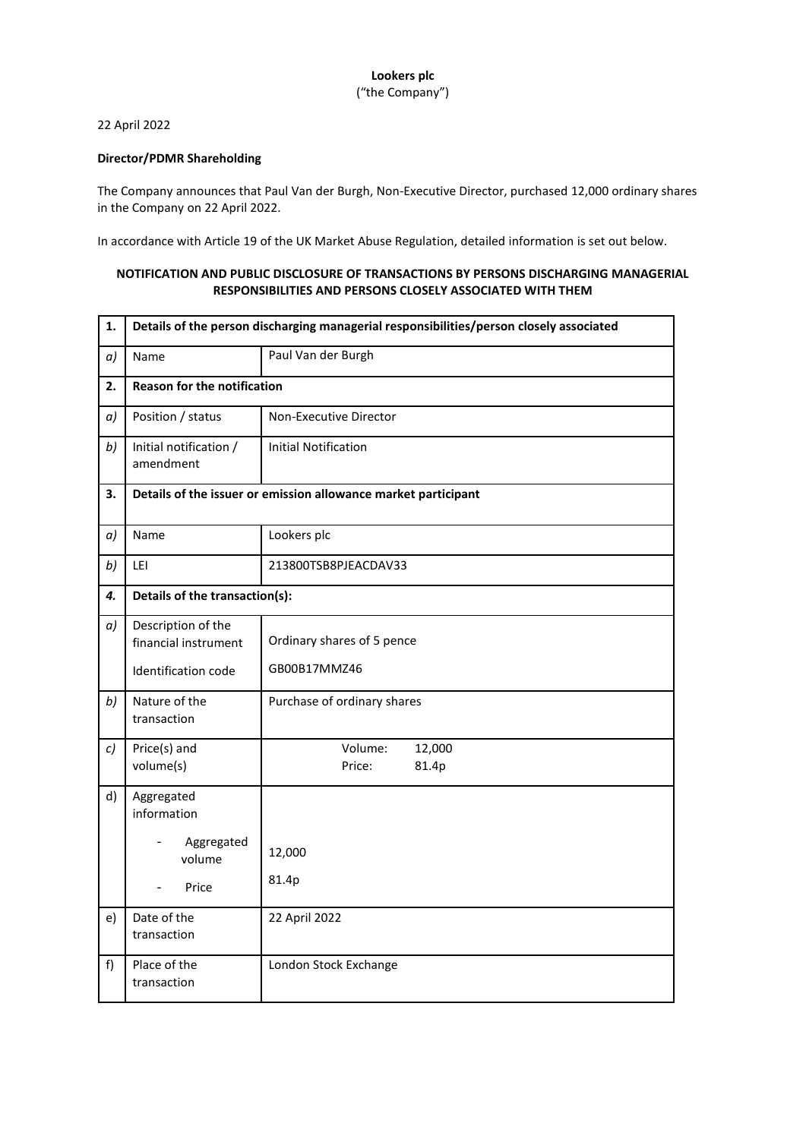## **Lookers plc** ("the Company")

## 22 April 2022

## **Director/PDMR Shareholding**

The Company announces that Paul Van der Burgh, Non-Executive Director, purchased 12,000 ordinary shares in the Company on 22 April 2022.

In accordance with Article 19 of the UK Market Abuse Regulation, detailed information is set out below.

## **NOTIFICATION AND PUBLIC DISCLOSURE OF TRANSACTIONS BY PERSONS DISCHARGING MANAGERIAL RESPONSIBILITIES AND PERSONS CLOSELY ASSOCIATED WITH THEM**

| 1. | Details of the person discharging managerial responsibilities/person closely associated |                                      |
|----|-----------------------------------------------------------------------------------------|--------------------------------------|
| a) | Name                                                                                    | Paul Van der Burgh                   |
| 2. | <b>Reason for the notification</b>                                                      |                                      |
| a) | Position / status                                                                       | Non-Executive Director               |
| b) | Initial notification /<br>amendment                                                     | <b>Initial Notification</b>          |
| 3. | Details of the issuer or emission allowance market participant                          |                                      |
| a) | Name                                                                                    | Lookers plc                          |
| b) | LEI                                                                                     | 213800TSB8PJEACDAV33                 |
| 4. | Details of the transaction(s):                                                          |                                      |
| a) | Description of the<br>financial instrument                                              | Ordinary shares of 5 pence           |
|    | Identification code                                                                     | GB00B17MMZ46                         |
| b) | Nature of the<br>transaction                                                            | Purchase of ordinary shares          |
| c) | Price(s) and<br>volume(s)                                                               | 12,000<br>Volume:<br>Price:<br>81.4p |
| d) | Aggregated<br>information                                                               |                                      |
|    | Aggregated<br>volume                                                                    | 12,000                               |
|    | Price<br>$\overline{\phantom{0}}$                                                       | 81.4p                                |
| e) | Date of the<br>transaction                                                              | 22 April 2022                        |
| f  | Place of the<br>transaction                                                             | London Stock Exchange                |